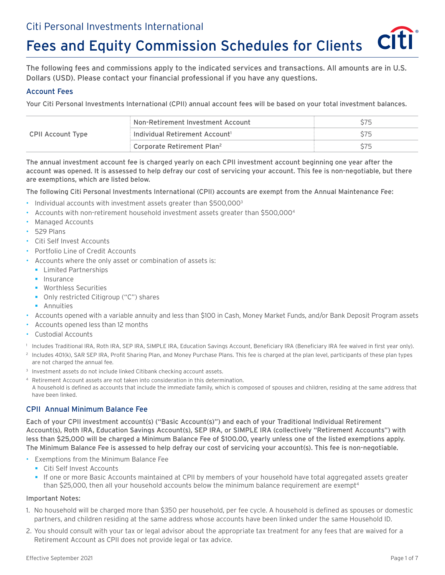# Fees and Equity Commission Schedules for Clients

The following fees and commissions apply to the indicated services and transactions. All amounts are in U.S. Dollars (USD). Please contact your financial professional if you have any questions.

### Account Fees

Your Citi Personal Investments International (CPII) annual account fees will be based on your total investment balances.

|                   | Mon-Retirement Investment Account                                  |  |
|-------------------|--------------------------------------------------------------------|--|
| CPII Account Type | $\vdash$ Individual Retirement Account $^{\text{\tiny{\text{1}}}}$ |  |
|                   | Corporate Retirement Plan <sup>2</sup>                             |  |

The annual investment account fee is charged yearly on each CPII investment account beginning one year after the account was opened. It is assessed to help defray our cost of servicing your account. This fee is non-negotiable, but there are exemptions, which are listed below.

The following Citi Personal Investments International (CPII) accounts are exempt from the Annual Maintenance Fee:

- Individual accounts with investment assets greater than \$500,0003
- Accounts with non-retirement household investment assets greater than \$500,0004
- Managed Accounts
- 529 Plans
- Citi Self Invest Accounts
- Portfolio Line of Credit Accounts
- Accounts where the only asset or combination of assets is:
	- § Limited Partnerships
	- Insurance
	- § Worthless Securities
	- Only restricted Citigroup ("C") shares
	- **•** Annuities
- Accounts opened with a variable annuity and less than \$100 in Cash, Money Market Funds, and/or Bank Deposit Program assets
- Accounts opened less than 12 months
- Custodial Accounts
- 1 Includes Traditional IRA, Roth IRA, SEP IRA, SIMPLE IRA, Education Savings Account, Beneficiary IRA (Beneficiary IRA fee waived in first year only).
- <sup>2</sup> Includes 401(k), SAR SEP IRA, Profit Sharing Plan, and Money Purchase Plans. This fee is charged at the plan level, participants of these plan types are not charged the annual fee.
- <sup>3</sup> Investment assets do not include linked Citibank checking account assets.
- 4 Retirement Account assets are not taken into consideration in this determination. A household is defined as accounts that include the immediate family, which is composed of spouses and children, residing at the same address that have been linked.

### CPII Annual Minimum Balance Fee

Each of your CPII investment account(s) ("Basic Account(s)") and each of your Traditional Individual Retirement Account(s), Roth IRA, Education Savings Account(s), SEP IRA, or SIMPLE IRA (collectively "Retirement Accounts") with less than \$25,000 will be charged a Minimum Balance Fee of \$100.00, yearly unless one of the listed exemptions apply. The Minimum Balance Fee is assessed to help defray our cost of servicing your account(s). This fee is non-negotiable.

- Exemptions from the Minimum Balance Fee
	- Citi Self Invest Accounts
	- § If one or more Basic Accounts maintained at CPII by members of your household have total aggregated assets greater than \$25,000, then all your household accounts below the minimum balance requirement are exempt<sup>4</sup>

#### Important Notes:

- 1. No household will be charged more than \$350 per household, per fee cycle. A household is defined as spouses or domestic partners, and children residing at the same address whose accounts have been linked under the same Household ID.
- 2. You should consult with your tax or legal advisor about the appropriate tax treatment for any fees that are waived for a Retirement Account as CPII does not provide legal or tax advice.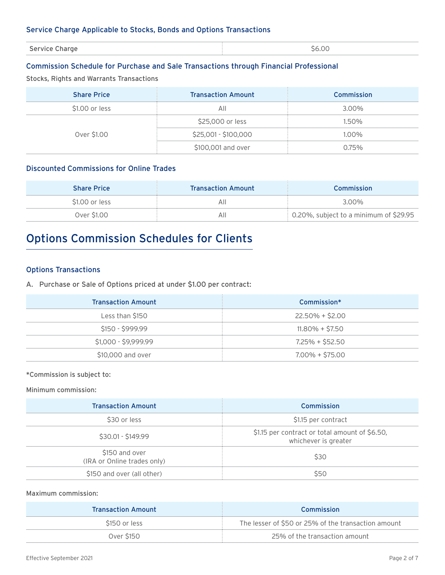### Service Charge Applicable to Stocks, Bonds and Options Transactions

| Service Charge | 5.0C<br>۰ŕ<br>. |
|----------------|-----------------|

### Commission Schedule for Purchase and Sale Transactions through Financial Professional

Stocks, Rights and Warrants Transactions

| <b>Share Price</b> | <b>Transaction Amount</b> | <b>Commission</b> |
|--------------------|---------------------------|-------------------|
| \$1.00 or less     | All                       | 3.00%             |
| Over \$1.00        | \$25,000 or less          | 1.50%             |
|                    | \$25,001 - \$100,000      | 1.00%             |
|                    | \$100,001 and over        | 0.75%             |

### Discounted Commissions for Online Trades

| <b>Share Price</b> | <b>Transaction Amount</b> | <b>Commission</b>                        |
|--------------------|---------------------------|------------------------------------------|
| \$1.00 or less     | ΑIΙ                       | 3.00%                                    |
| Over \$1.00        | ΑII                       | : 0.20%, subject to a minimum of \$29.95 |

# Options Commission Schedules for Clients

### Options Transactions

A. Purchase or Sale of Options priced at under \$1.00 per contract:

| <b>Transaction Amount</b> | Commission*       |
|---------------------------|-------------------|
| Less than \$150           | 22.50% + \$2.00   |
| $$150 - $999.99$          | $11.80\% + $7.50$ |
| \$1,000 - \$9,999.99      | 7.25% + \$52.50   |
| \$10,000 and over         | $7.00\% + $75.00$ |

\*Commission is subject to:

Minimum commission:

| <b>Transaction Amount</b>                     | Commission                                                             |
|-----------------------------------------------|------------------------------------------------------------------------|
| \$30 or less                                  | \$1.15 per contract                                                    |
| $$30.01 - $149.99$                            | \$1.15 per contract or total amount of \$6.50,<br>whichever is greater |
| \$150 and over<br>(IRA or Online trades only) | \$30                                                                   |
| \$150 and over (all other)                    | \$50                                                                   |

### Maximum commission:

| <b>Transaction Amount</b> | Commission                                          |
|---------------------------|-----------------------------------------------------|
| \$150 or less             | The lesser of \$50 or 25% of the transaction amount |
| Over \$150                | 25% of the transaction amount                       |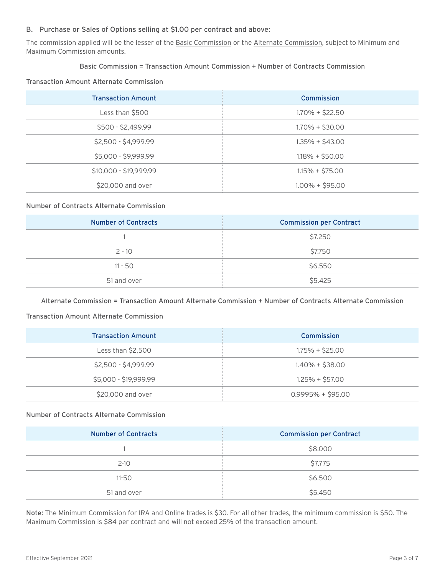### B. Purchase or Sales of Options selling at \$1.00 per contract and above:

The commission applied will be the lesser of the Basic Commission or the Alternate Commission, subject to Minimum and Maximum Commission amounts.

### Basic Commission = Transaction Amount Commission + Number of Contracts Commission

#### Transaction Amount Alternate Commission

| <b>Transaction Amount</b> | <b>Commission</b> |
|---------------------------|-------------------|
| Less than \$500           | $1.70\% + $22.50$ |
| \$500 - \$2,499.99        | $1.70\% + $30.00$ |
| \$2,500 - \$4,999.99      | $1.35\% + $43.00$ |
| \$5,000 - \$9,999.99      | $1.18\% + $50.00$ |
| \$10,000 - \$19,999.99    | $1.15\% + $75.00$ |
| \$20,000 and over         | $1.00\% + $95.00$ |

#### Number of Contracts Alternate Commission

| <b>Number of Contracts</b> | <b>Commission per Contract</b> |
|----------------------------|--------------------------------|
|                            | \$7.250                        |
| $2 - 10$                   | \$7.750                        |
| $11 - 50$                  | \$6.550                        |
| 51 and over                | \$5.425                        |

Alternate Commission = Transaction Amount Alternate Commission + Number of Contracts Alternate Commission

### Transaction Amount Alternate Commission

| <b>Transaction Amount</b> | Commission         |
|---------------------------|--------------------|
| Less than \$2,500         | $1.75\% + $25.00$  |
| \$2,500 - \$4,999.99      | $1.40\% + $38.00$  |
| \$5,000 - \$19,999.99     | $1.25\% + $57.00$  |
| \$20,000 and over         | $0.9995% + $95.00$ |

### Number of Contracts Alternate Commission

| <b>Number of Contracts</b> | <b>Commission per Contract</b> |
|----------------------------|--------------------------------|
|                            | \$8.000                        |
| $2 - 10$                   | \$7.775                        |
| $11 - 50$                  | \$6.500                        |
| 51 and over                | \$5.450                        |

Note: The Minimum Commission for IRA and Online trades is \$30. For all other trades, the minimum commission is \$50. The Maximum Commission is \$84 per contract and will not exceed 25% of the transaction amount.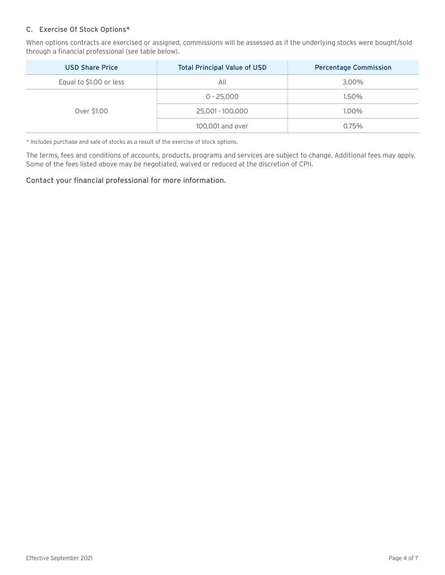### C. Exercise Of Stock Options\*

When options contracts are exercised or assigned, commissions will be assessed as if the underlying stocks were bought/sold through a financial professional (see table below).

| <b>USD Share Price</b>  | <b>Total Principal Value of USD</b> | <b>Percentage Commission</b> |
|-------------------------|-------------------------------------|------------------------------|
| Equal to \$1.00 or less | All                                 | 3.00%                        |
| Over \$1.00             | $0 - 25,000$                        | 1.50%                        |
|                         | 25,001 - 100,000                    | 1.00%                        |
|                         | 100,001 and over                    | 0.75%                        |

\* Includes purchase and sale of stocks as a result of the exercise of stock options.

The terms, fees and conditions of accounts, products, programs and services are subject to change. Additional fees may apply. Some of the fees listed above may be negotiated, waived or reduced at the discretion of CPII.

### Contact your financial professional for more information.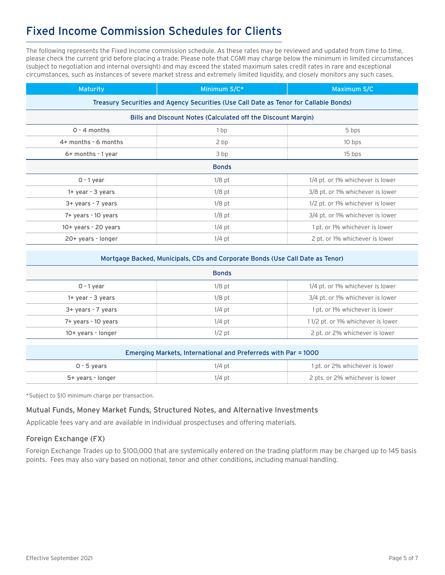### Fixed Income Commission Schedules for Clients

The following represents the Fixed Income commission schedule. As these rates may be reviewed and updated from time to time, please check the current grid before placing a trade. Please note that CGMI may charge below the minimum in limited circumstances (subject to negotiation and internal oversight) and may exceed the stated maximum sales credit rates in rare and exceptional circumstances, such as instances of severe market stress and extremely limited liquidity, and closely monitors any such cases.

| <b>Maturity</b>                                               | Minimum S/C*                                                                          | Maximum S/C                      |
|---------------------------------------------------------------|---------------------------------------------------------------------------------------|----------------------------------|
|                                                               | Treasury Securities and Agency Securities (Use Call Date as Tenor for Callable Bonds) |                                  |
| Bills and Discount Notes (Calculated off the Discount Margin) |                                                                                       |                                  |
| $0 - 4$ months                                                | 1 <sub>bp</sub>                                                                       | 5 bps                            |
| 4+ months - 6 months                                          | 2 bp                                                                                  | 10 bps                           |
| 6+ months - 1 year                                            | 3 bp                                                                                  | 15 bps                           |
| <b>Bonds</b>                                                  |                                                                                       |                                  |
| $0 - 1$ year                                                  | $1/8$ pt                                                                              | 1/4 pt. or 1% whichever is lower |
| $1+$ year - 3 years                                           | $1/8$ pt                                                                              | 3/8 pt. or 1% whichever is lower |
| 3+ years - 7 years                                            | $1/8$ pt                                                                              | 1/2 pt. or 1% whichever is lower |
| 7+ years - 10 years                                           | $1/8$ pt                                                                              | 3/4 pt. or 1% whichever is lower |
| 10+ years - 20 years                                          | $1/4$ pt                                                                              | 1 pt. or 1% whichever is lower   |
| 20+ years - longer                                            | $1/4$ pt                                                                              | 2 pt. or 1% whichever is lower   |

| Mortgage Backed, Municipals, CDs and Corporate Bonds (Use Call Date as Tenor)<br><b>Bonds</b> |          |                                   |
|-----------------------------------------------------------------------------------------------|----------|-----------------------------------|
|                                                                                               |          | $0 - 1$ year                      |
| $1+$ year - 3 years                                                                           | $1/8$ pt | 3/4 pt. or 1% whichever is lower  |
| 3+ years - 7 years                                                                            | $1/4$ pt | 1 pt. or 1% whichever is lower    |
| 7+ years - 10 years                                                                           | $1/4$ pt | 11/2 pt. or 1% whichever is lower |
| 10+ years - longer                                                                            | $1/2$ pt | 2 pt. or 2% whichever is lower    |
|                                                                                               |          |                                   |

| Emerging Markets, International and Preferreds with Par = 1000 |          |                                 |
|----------------------------------------------------------------|----------|---------------------------------|
| $0 - 5$ vears                                                  | $1/4$ pt | 1 pt. or 2% whichever is lower  |
| 5+ years - longer                                              | $1/4$ pt | 2 pts. or 2% whichever is lower |

\*Subject to \$10 minimum charge per transaction.

### Mutual Funds, Money Market Funds, Structured Notes, and Alternative Investments

Applicable fees vary and are available in individual prospectuses and offering materials.

### Foreign Exchange (FX)

Foreign Exchange Trades up to \$100,000 that are systemically entered on the trading platform may be charged up to 145 basis points. Fees may also vary based on notional, tenor and other conditions, including manual handling.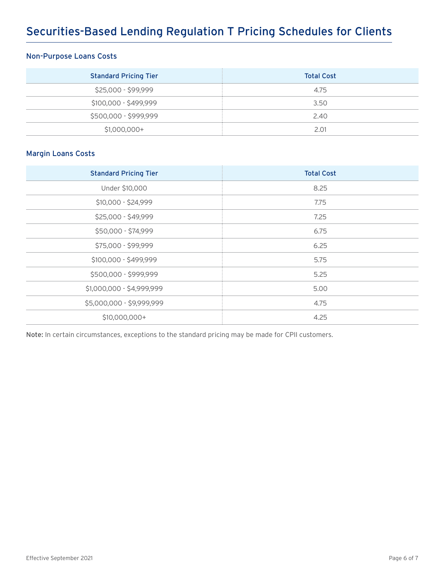# Securities-Based Lending Regulation T Pricing Schedules for Clients

### Non-Purpose Loans Costs

| <b>Standard Pricing Tier</b> | <b>Total Cost</b> |
|------------------------------|-------------------|
| \$25,000 - \$99,999          | 4.75              |
| \$100,000 - \$499,999        | 3.50              |
| \$500,000 - \$999,999        | 2.40              |
| $$1,000,000+$                | 2.01              |

### Margin Loans Costs

| <b>Standard Pricing Tier</b> | <b>Total Cost</b> |
|------------------------------|-------------------|
| Under \$10,000               | 8.25              |
| \$10,000 - \$24,999          | 7.75              |
| \$25,000 - \$49,999          | 7.25              |
| \$50,000 - \$74,999          | 6.75              |
| \$75,000 - \$99,999          | 6.25              |
| \$100,000 - \$499,999        | 5.75              |
| \$500,000 - \$999,999        | 5.25              |
| \$1,000,000 - \$4,999,999    | 5.00              |
| \$5,000,000 - \$9,999,999    | 4.75              |
| \$10,000,000+                | 4.25              |

Note: In certain circumstances, exceptions to the standard pricing may be made for CPII customers.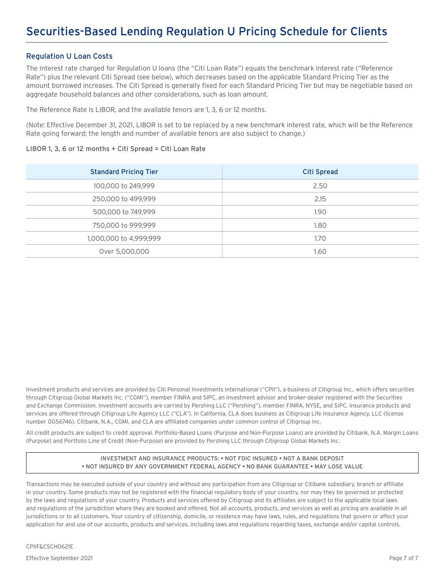### Regulation U Loan Costs

The interest rate charged for Regulation U loans (the "Citi Loan Rate") equals the benchmark interest rate ("Reference Rate") plus the relevant Citi Spread (see below), which decreases based on the applicable Standard Pricing Tier as the amount borrowed increases. The Citi Spread is generally fixed for each Standard Pricing Tier but may be negotiable based on aggregate household balances and other considerations, such as loan amount.

The Reference Rate is LIBOR, and the available tenors are 1, 3, 6 or 12 months.

(Note: Effective December 31, 2021, LIBOR is set to be replaced by a new benchmark interest rate, which will be the Reference Rate going forward; the length and number of available tenors are also subject to change.)

### LIBOR 1, 3, 6 or 12 months + Citi Spread = Citi Loan Rate

| <b>Standard Pricing Tier</b> | <b>Citi Spread</b> |
|------------------------------|--------------------|
| 100,000 to 249,999           | 2.50               |
| 250,000 to 499,999           | 2.15               |
| 500,000 to 749,999           | 1.90               |
| 750,000 to 999,999           | 1.80               |
| 1,000,000 to 4,999,999       | 1.70               |
| Over 5,000,000               | 1.60               |

Investment products and services are provided by Citi Personal Investments International ("CPII"), a business of Citigroup Inc., which offers securities through Citigroup Global Markets Inc. ("CGMI"), member FINRA and SIPC, an investment advisor and broker-dealer registered with the Securities and Exchange Commission. Investment accounts are carried by Pershing LLC ("Pershing"), member FINRA, NYSE, and SIPC. Insurance products and services are offered through Citigroup Life Agency LLC ("CLA"). In California, CLA does business as Citigroup Life Insurance Agency, LLC (license number 0G56746). Citibank, N.A., CGMI, and CLA are affiliated companies under common control of Citigroup Inc.

All credit products are subject to credit approval. Portfolio-Based Loans (Purpose and Non-Purpose Loans) are provided by Citibank, N.A. Margin Loans (Purpose) and Portfolio Line of Credit (Non-Purpose) are provided by Pershing LLC through Citigroup Global Markets Inc.

### INVESTMENT AND INSURANCE PRODUCTS: • NOT FDIC INSURED • NOT A BANK DEPOSIT • NOT INSURED BY ANY GOVERNMENT FEDERAL AGENCY • NO BANK GUARANTEE • MAY LOSE VALUE

Transactions may be executed outside of your country and without any participation from any Citigroup or Citibank subsidiary, branch or affiliate in your country. Some products may not be registered with the financial regulatory body of your country, nor may they be governed or protected by the laws and regulations of your country. Products and services offered by Citigroup and its affiliates are subject to the applicable local laws and regulations of the jurisdiction where they are booked and offered. Not all accounts, products, and services as well as pricing are available in all jurisdictions or to all customers. Your country of citizenship, domicile, or residence may have laws, rules, and regulations that govern or affect your application for and use of our accounts, products and services, including laws and regulations regarding taxes, exchange and/or capital controls.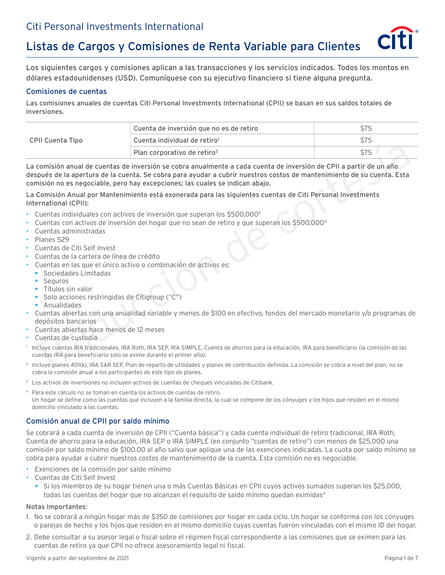# Listas de Cargos y Comisiones de Renta Variable para Clientes

Los siguientes cargos y comisiones aplican a las transacciones y los servicios indicados. Todos los montos en dólares estadounidenses (USD). Comuníquese con su ejecutivo financiero si tiene alguna pregunta.

### Comisiones de cuentas

Las comisiones anuales de cuentas Citi Personal Investments International (CPII) se basan en sus saldos totales de inversiones.

|                  | : Cuenta de inversión que no es de retiro |      |
|------------------|-------------------------------------------|------|
| CPII Cuenta Tipo | $\pm$ Cuenta individual de retiro $^1$    |      |
|                  | : Plan corporativo de retiro <sup>2</sup> | \$75 |

La comisión anual de cuentas de inversión se cobra anualmente a cada cuenta de inversión de CPII a partir de un año después de la apertura de la cuenta. Se cobra para ayudar a cubrir nuestros costos de mantenimiento de su cuenta. Esta comisión no es negociable, pero hay excepciones; las cuales se indican abajo. Plan corporativo de retiro<sup>s</sup> 575<br>
Signistica de la apertura de la cuenta de inversión se cobra anualmente a cada cuenta de inversión de CPII a partir de un año<br>
septis de la apertura de la cuenta. Se cobra para a valoria

La Comisión Anual por Mantenimiento está exonerada para las siguientes cuentas de Citi Personal Investments International (CPII):

- Cuentas individuales con activos de inversión que superan los \$500,0003
- Cuentas con activos de inversión del hogar que no sean de retiro y que superan los \$500,0004
- Cuentas administradas
- Planes 529
- Cuentas de Citi Self Invest
- Cuentas de la cartera de línea de crédito
- Cuentas en las que el único activo o combinación de activos es:
- § Sociedades Limitadas
	- Seguros
	- Títulos sin valor
	- § Solo acciones restringidas de Citigroup ("C")
	- § Anualidades
- Cuentas abiertas con una anualidad variable y menos de \$100 en efectivo, fondos del mercado monetario y/o programas de depósitos bancarios
- Cuentas abiertas hace menos de 12 meses
- Cuentas de custodia
- 1 Incluye cuentas IRA tradicionales, IRA Roth, IRA SEP, IRA SIMPLE, Cuenta de ahorros para la educación, IRA para beneficiario (la comisión de las cuentas IRA para beneficiario solo se exime durante el primer año).
- 2 Incluye planes 401(k), IRA SAR SEP, Plan de reparto de utilidades y planes de contribución definida. La comisión se cobra a nivel del plan, no se cobra la comisión anual a los participantes de este tipo de planes.
- 3 Los activos de inversiones no incluyen activos de cuentas de cheques vinculadas de Citibank.
- 4 Para este cálculo no se toman en cuenta los activos de cuentas de retiro. Un hogar se define como las cuentas que incluyen a la familia directa, la cual se compone de los cónyuges y los hijos que residen en el mismo domicilio vinculado a las cuentas.

### Comisión anual de CPII por saldo mínimo

Se cobrará a cada cuenta de inversión de CPII ("Cuenta básica") y cada cuenta individual de retiro tradicional, IRA Roth, Cuenta de ahorro para la educación, IRA SEP o IRA SIMPLE (en conjunto "cuentas de retiro") con menos de \$25,000 una comisión por saldo mínimo de \$100.00 al año salvo que aplique una de las exenciones indicadas. La cuota por saldo mínimo se cobra para ayudar a cubrir nuestros costos de mantenimiento de la cuenta. Esta comisión no es negociable.

- Exenciones de la comisión por saldo mínimo
- Cuentas de Citi Self Invest
	- § Si los miembros de su hogar tienen una o más Cuentas Básicas en CPII cuyos activos sumados superan los \$25,000, todas las cuentas del hogar que no alcanzan el requisito de saldo mínimo quedan eximidas<sup>4</sup>

### Notas Importantes:

- 1. No se cobrará a ningún hogar más de \$350 de comisiones por hogar en cada ciclo. Un hogar se conforma con los cónyuges o parejas de hecho y los hijos que residen en el mismo domicilio cuyas cuentas fueron vinculadas con el mismo ID del hogar.
- 2. Debe consultar a su asesor legal o fiscal sobre el régimen fiscal correspondiente a las comisiones que se eximen para las cuentas de retiro ya que CPII no ofrece asesoramiento legal ni fiscal.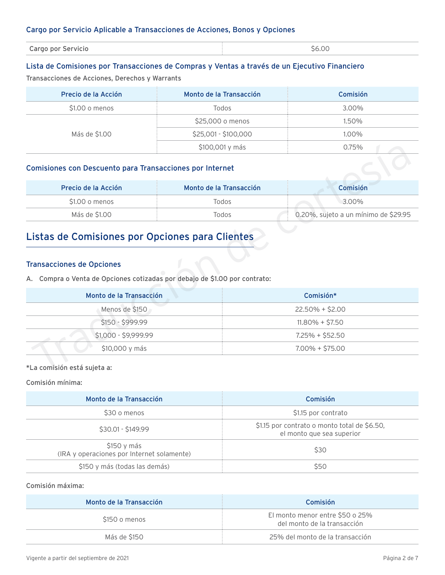### Cargo por Servicio Aplicable a Transacciones de Acciones, Bonos y Opciones

| Cargo por Servicio | \$6.00 |  |
|--------------------|--------|--|
|                    |        |  |
|                    |        |  |

### Lista de Comisiones por Transacciones de Compras y Ventas a través de un Ejecutivo Financiero

Transacciones de Acciones, Derechos y Warrants

| Precio de la Acción | Monto de la Transacción | <b>Comisión</b> |
|---------------------|-------------------------|-----------------|
| $$1.00$ o menos     | Todos                   | 3.00%           |
| Más de \$1.00       | \$25,000 o menos        | 1.50%           |
|                     | \$25,001 - \$100,000    | 1.00%           |
|                     | \$100,001 y más         | 0.75%           |

### Comisiones con Descuento para Transacciones por Internet

| Precio de la Acción | Monto de la Transacción | <b>Comisión</b>                      |
|---------------------|-------------------------|--------------------------------------|
| \$1.00 o menos      | Todos                   | 3.00%                                |
| Más de \$1.00       | Todos                   | 0.20%, sujeto a un mínimo de \$29.95 |

### Listas de Comisiones por Opciones para Clientes

### Transacciones de Opciones

|                                                                                                                | \$100,001 y más         | 0.75%                                |
|----------------------------------------------------------------------------------------------------------------|-------------------------|--------------------------------------|
| Comisiones con Descuento para Transacciones por Internet                                                       |                         |                                      |
| Precio de la Acción                                                                                            | Monto de la Transacción | Comisión                             |
| \$1.00 o menos                                                                                                 | Todos                   | 3.00%                                |
| Más de \$1.00                                                                                                  | Todos                   | 0.20%, sujeto a un mínimo de \$29.95 |
| <b>Transacciones de Opciones</b><br>A. Compra o Venta de Opciones cotizadas por debajo de \$1.00 por contrato: |                         |                                      |
| Monto de la Transacción                                                                                        |                         | Comisión*                            |
| Menos de \$150<br>$22.50\% + $2.00$                                                                            |                         |                                      |
| \$150 - \$999.99<br>$11.80\% + $7.50$                                                                          |                         |                                      |
| \$1,000 - \$9,999.99<br>$7.25\% + $52.50$                                                                      |                         |                                      |
| \$10,000 y más                                                                                                 |                         | $7.00\% + $75.00$                    |
| *La comisión está sujeta a:                                                                                    |                         |                                      |

Comisión mínima:

| Monto de la Transacción                                   | Comisión                                                                  |
|-----------------------------------------------------------|---------------------------------------------------------------------------|
| \$30 o menos                                              | \$1.15 por contrato                                                       |
| $$30.01 - $149.99$                                        | \$1.15 por contrato o monto total de \$6.50,<br>el monto que sea superior |
| \$150 y más<br>(IRA y operaciones por Internet solamente) | \$30                                                                      |
| \$150 y más (todas las demás)                             | \$50                                                                      |

### Comisión máxima:

| Monto de la Transacción | <b>Comisión</b>                                                |
|-------------------------|----------------------------------------------------------------|
| \$150 o menos           | El monto menor entre \$50 o 25%<br>del monto de la transacción |
| Más de \$150            | 25% del monto de la transacción                                |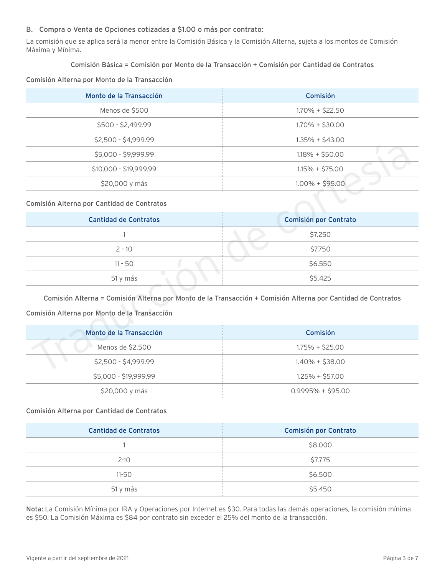### B. Compra o Venta de Opciones cotizadas a \$1.00 o más por contrato:

La comisión que se aplica será la menor entre la Comisión Básica y la Comisión Alterna, sujeta a los montos de Comisión Máxima y Mínima.

### Comisión Básica = Comisión por Monto de la Transacción + Comisión por Cantidad de Contratos

### Comisión Alterna por Monto de la Transacción

| Monto de la Transacción | Comisión          |
|-------------------------|-------------------|
| Menos de \$500          | $1.70\% + $22.50$ |
| $$500 - $2,499.99$      | $1.70\% + $30.00$ |
| \$2,500 - \$4,999.99    | $1.35\% + $43.00$ |
| \$5,000 - \$9,999.99    | $1.18\% + $50.00$ |
| \$10,000 - \$19,999.99  | $1.15\% + $75.00$ |
| \$20,000 y más          | $1.00\% + $95.00$ |

### Comisión Alterna por Cantidad de Contratos

| \$5,000 - \$9,999.99                         | $1.18\% + $50.00$                                                                                            |  |
|----------------------------------------------|--------------------------------------------------------------------------------------------------------------|--|
| \$10,000 - \$19,999.99                       | $1.15\% + $75.00$                                                                                            |  |
| \$20,000 y más                               | $1.00\% + $95.00$                                                                                            |  |
| Comisión Alterna por Cantidad de Contratos   |                                                                                                              |  |
| <b>Cantidad de Contratos</b>                 | Comisión por Contrato                                                                                        |  |
|                                              | \$7.250                                                                                                      |  |
| $2 - 10$                                     | \$7.750                                                                                                      |  |
| $11 - 50$                                    | \$6.550                                                                                                      |  |
| 51 y más                                     | \$5.425                                                                                                      |  |
| Comisión Alterna por Monto de la Transacción | Comisión Alterna = Comisión Alterna por Monto de la Transacción + Comisión Alterna por Cantidad de Contratos |  |
| Monto de la Transacción                      | Comisión                                                                                                     |  |
| Menos de \$2,500                             | $1.75\% + $25.00$                                                                                            |  |
| \$2,500 - \$4,999.99                         | $1.40\% + $38.00$                                                                                            |  |
|                                              |                                                                                                              |  |

### Comisión Alterna por Monto de la Transacción

| Monto de la Transacción | Comisión           |
|-------------------------|--------------------|
| Menos de \$2,500        | $1.75\% + $25.00$  |
| $$2,500 - $4,999.99$    | $1.40\% + $38.00$  |
| \$5,000 - \$19,999.99   | $1.25\% + $57.00$  |
| \$20,000 y más          | $0.9995% + $95.00$ |

### Comisión Alterna por Cantidad de Contratos

| <b>Cantidad de Contratos</b> | Comisión por Contrato |
|------------------------------|-----------------------|
|                              | \$8.000               |
| $2 - 10$                     | \$7.775               |
| $11 - 50$                    | \$6.500               |
| 51 y más                     | \$5.450               |

Nota: La Comisión Mínima por IRA y Operaciones por Internet es \$30. Para todas las demás operaciones, la comisión mínima es \$50. La Comisión Máxima es \$84 por contrato sin exceder el 25% del monto de la transacción.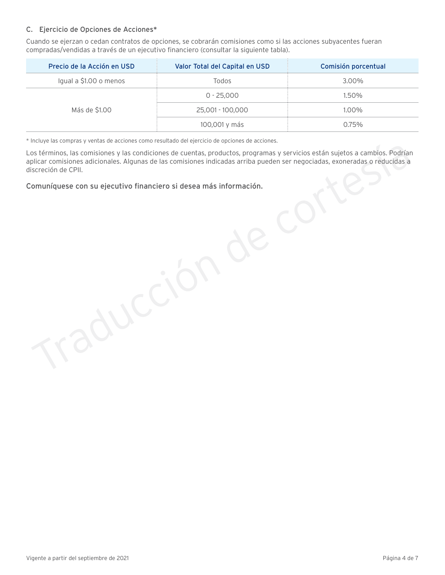### C. Ejercicio de Opciones de Acciones\*

Cuando se ejerzan o cedan contratos de opciones, se cobrarán comisiones como si las acciones subyacentes fueran compradas/vendidas a través de un ejecutivo financiero (consultar la siguiente tabla).

| Precio de la Acción en USD | Valor Total del Capital en USD | Comisión porcentual |
|----------------------------|--------------------------------|---------------------|
| Igual a \$1.00 o menos     | Todos                          | 3.00%               |
| Más de \$1.00              | $0 - 25,000$                   | 1.50%               |
|                            | 25,001 - 100,000               | 1.00%               |
|                            | 100,001 y más                  | 0.75%               |

\* Incluye las compras y ventas de acciones como resultado del ejercicio de opciones de acciones.

Los términos, las comisiones y las condiciones de cuentas, productos, programas y servicios están sujetos a cambios. Podrían aplicar comisiones adicionales. Algunas de las comisiones indicadas arriba pueden ser negociadas, exoneradas o reducidas a discreción de CPII.

Comuníquese con su ejecutivo financiero si desea más información.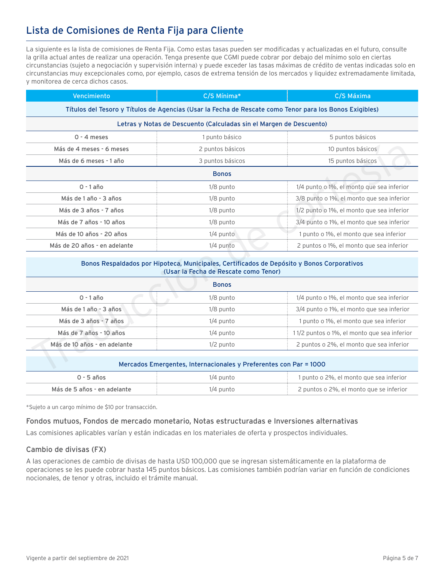### Lista de Comisiones de Renta Fija para Cliente

La siguiente es la lista de comisiones de Renta Fija. Como estas tasas pueden ser modificadas y actualizadas en el futuro, consulte la grilla actual antes de realizar una operación. Tenga presente que CGMI puede cobrar por debajo del mínimo solo en ciertas circunstancias (sujeto a negociación y supervisión interna) y puede exceder las tasas máximas de crédito de ventas indicadas solo en circunstancias muy excepcionales como, por ejemplo, casos de extrema tensión de los mercados y liquidez extremadamente limitada, y monitorea de cerca dichos casos.

| Vencimiento                                                                                                                         | C/S Mínima*                                                                                             | C/S Máxima                                  |  |  |
|-------------------------------------------------------------------------------------------------------------------------------------|---------------------------------------------------------------------------------------------------------|---------------------------------------------|--|--|
|                                                                                                                                     | Títulos del Tesoro y Títulos de Agencias (Usar la Fecha de Rescate como Tenor para los Bonos Exigibles) |                                             |  |  |
|                                                                                                                                     | Letras y Notas de Descuento (Calculadas sin el Margen de Descuento)                                     |                                             |  |  |
| $0 - 4$ meses                                                                                                                       | 1 punto básico                                                                                          | 5 puntos básicos                            |  |  |
| Más de 4 meses - 6 meses                                                                                                            | 2 puntos básicos                                                                                        | 10 puntos básicos                           |  |  |
| Más de 6 meses - 1 año                                                                                                              | 3 puntos básicos                                                                                        | 15 puntos básicos                           |  |  |
|                                                                                                                                     | <b>Bonos</b>                                                                                            |                                             |  |  |
| $0 - 1$ año                                                                                                                         | $1/8$ punto                                                                                             | 1/4 punto o 1%, el monto que sea inferior   |  |  |
| Más de 1 año - 3 años                                                                                                               | $1/8$ punto                                                                                             | 3/8 punto o 1%, el monto que sea inferior   |  |  |
| Más de 3 años - 7 años                                                                                                              | $1/8$ punto                                                                                             | 1/2 punto o 1%, el monto que sea inferior   |  |  |
| Más de 7 años - 10 años                                                                                                             | 1/8 punto                                                                                               | 3/4 punto o 1%, el monto que sea inferior   |  |  |
| Más de 10 años - 20 años                                                                                                            | $1/4$ punto                                                                                             | 1 punto o 1%, el monto que sea inferior     |  |  |
| Más de 20 años - en adelante                                                                                                        | 1/4 punto                                                                                               | 2 puntos o 1%, el monto que sea inferior    |  |  |
| Bonos Respaldados por Hipoteca, Municipales, Certificados de Depósito y Bonos Corporativos<br>(Usar la Fecha de Rescate como Tenor) |                                                                                                         |                                             |  |  |
|                                                                                                                                     | <b>Bonos</b>                                                                                            |                                             |  |  |
| $0 - 1$ año                                                                                                                         | $1/8$ punto                                                                                             | 1/4 punto o 1%, el monto que sea inferior   |  |  |
| Más de 1 año - 3 años                                                                                                               | 1/8 punto                                                                                               | 3/4 punto o 1%, el monto que sea inferior   |  |  |
| Más de 3 años - 7 años                                                                                                              | $1/4$ punto                                                                                             | 1 punto o 1%, el monto que sea inferior     |  |  |
| Más de 7 años - 10 años                                                                                                             | $1/4$ punto                                                                                             | 11/2 puntos o 1%, el monto que sea inferior |  |  |
| Más de 10 años - en adelante                                                                                                        | 1/2 punto                                                                                               | 2 puntos o 2%, el monto que sea inferior    |  |  |
| Mercados Emergentes, Internacionales y Preferentes con Par = 1000                                                                   |                                                                                                         |                                             |  |  |

| Bonos Respaldados por Hipoteca, Municipales, Certificados de Depósito y Bonos Corporativos<br>(Usar la Fecha de Rescate como Tenor)<br><b>Bonos</b> |             |                                             |
|-----------------------------------------------------------------------------------------------------------------------------------------------------|-------------|---------------------------------------------|
|                                                                                                                                                     |             |                                             |
| Más de 1 año - 3 años                                                                                                                               | $1/8$ punto | 3/4 punto o 1%, el monto que sea inferior   |
| Más de 3 años - 7 años                                                                                                                              | $1/4$ punto | 1 punto o 1%, el monto que sea inferior     |
| Más de 7 años - 10 años                                                                                                                             | $1/4$ punto | 11/2 puntos o 1%, el monto que sea inferior |
| Más de 10 años - en adelante                                                                                                                        | $1/2$ punto | 2 puntos o 2%, el monto que sea inferior    |

| Mercados Emergentes, Internacionales y Preferentes con Par = 1000 |             |                                         |
|-------------------------------------------------------------------|-------------|-----------------------------------------|
| $0 - 5$ años                                                      | $1/4$ punto | 1 punto o 2%, el monto que sea inferior |
| Más de 5 años - en adelante                                       | $1/4$ punto | 2 puntos o 2%, el monto que se inferior |

\*Sujeto a un cargo mínimo de \$10 por transacción.

### Fondos mutuos, Fondos de mercado monetario, Notas estructuradas e Inversiones alternativas

Las comisiones aplicables varían y están indicadas en los materiales de oferta y prospectos individuales.

### Cambio de divisas (FX)

A las operaciones de cambio de divisas de hasta USD 100,000 que se ingresan sistemáticamente en la plataforma de operaciones se les puede cobrar hasta 145 puntos básicos. Las comisiones también podrían variar en función de condiciones nocionales, de tenor y otras, incluido el trámite manual.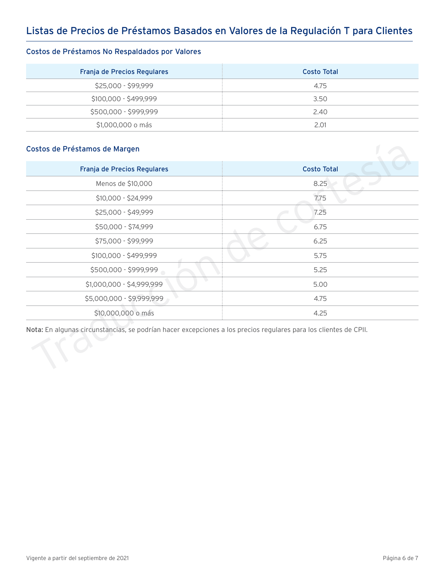### Listas de Precios de Préstamos Basados en Valores de la Regulación T para Clientes

### Costos de Préstamos No Respaldados por Valores

| Franja de Precios Regulares | Costo Total |
|-----------------------------|-------------|
| \$25,000 - \$99,999         | 4.75        |
| \$100,000 - \$499,999       | 3.50        |
| \$500,000 - \$999,999       | 2.40        |
| \$1,000,000 o más           | 2.01        |

### Costos de Préstamos de Margen

| Franja de Precios Regulares | <b>Costo Total</b> |
|-----------------------------|--------------------|
| Menos de \$10,000           | 8.25               |
| \$10,000 - \$24,999         | 7.75               |
| \$25,000 - \$49,999         | 7.25               |
| \$50,000 - \$74,999         | 6.75               |
| \$75,000 - \$99,999         | 6.25               |
| \$100,000 - \$499,999       | 5.75               |
| \$500,000 - \$999,999       | 5.25               |
| \$1,000,000 - \$4,999,999   | 5.00               |
| \$5,000,000 - \$9,999,999   | 4.75               |
| \$10,000,000 o más          | 4.25               |